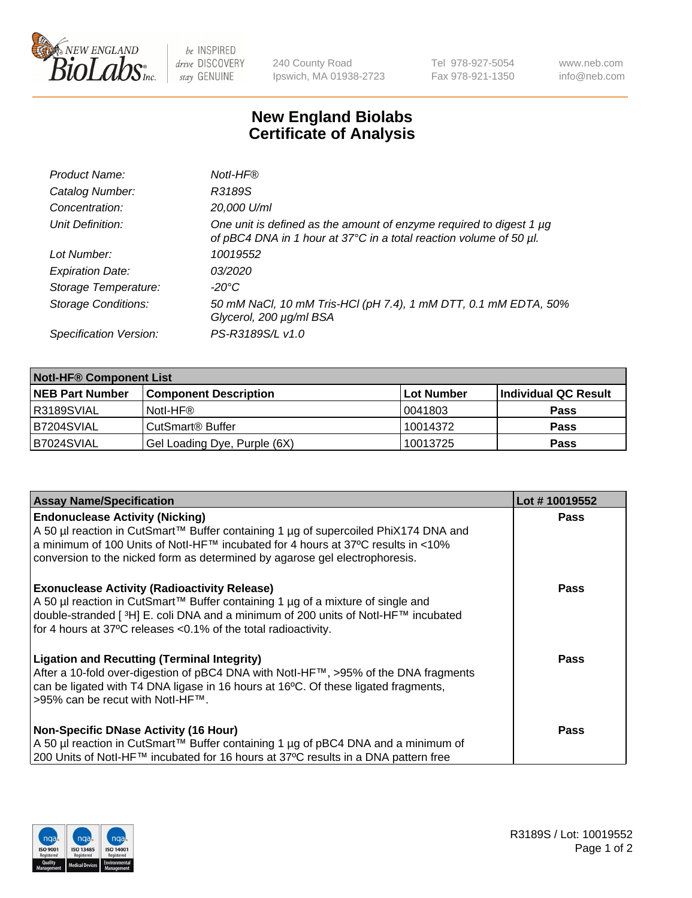

 $be$  INSPIRED drive DISCOVERY stay GENUINE

240 County Road Ipswich, MA 01938-2723 Tel 978-927-5054 Fax 978-921-1350 www.neb.com info@neb.com

## **New England Biolabs Certificate of Analysis**

| Product Name:              | Notl-HF®                                                                                                                                  |
|----------------------------|-------------------------------------------------------------------------------------------------------------------------------------------|
| Catalog Number:            | R3189S                                                                                                                                    |
| Concentration:             | 20,000 U/ml                                                                                                                               |
| Unit Definition:           | One unit is defined as the amount of enzyme required to digest 1 µg<br>of pBC4 DNA in 1 hour at 37°C in a total reaction volume of 50 µl. |
| Lot Number:                | 10019552                                                                                                                                  |
| <b>Expiration Date:</b>    | <i>03/2020</i>                                                                                                                            |
| Storage Temperature:       | -20°C                                                                                                                                     |
| <b>Storage Conditions:</b> | 50 mM NaCl, 10 mM Tris-HCl (pH 7.4), 1 mM DTT, 0.1 mM EDTA, 50%<br>Glycerol, 200 µg/ml BSA                                                |
| Specification Version:     | PS-R3189S/L v1.0                                                                                                                          |

| <b>Notl-HF® Component List</b> |                              |            |                      |  |  |
|--------------------------------|------------------------------|------------|----------------------|--|--|
| <b>NEB Part Number</b>         | <b>Component Description</b> | Lot Number | Individual QC Result |  |  |
| R3189SVIAL                     | Notl-HF®                     | 10041803   | <b>Pass</b>          |  |  |
| B7204SVIAL                     | CutSmart <sup>®</sup> Buffer | 10014372   | <b>Pass</b>          |  |  |
| B7024SVIAL                     | Gel Loading Dye, Purple (6X) | 10013725   | <b>Pass</b>          |  |  |

| <b>Assay Name/Specification</b>                                                                                                                                                                                                                                                                 | Lot #10019552 |
|-------------------------------------------------------------------------------------------------------------------------------------------------------------------------------------------------------------------------------------------------------------------------------------------------|---------------|
| <b>Endonuclease Activity (Nicking)</b><br>A 50 µl reaction in CutSmart™ Buffer containing 1 µg of supercoiled PhiX174 DNA and                                                                                                                                                                   | <b>Pass</b>   |
| a minimum of 100 Units of NotI-HF™ incubated for 4 hours at 37°C results in <10%<br>conversion to the nicked form as determined by agarose gel electrophoresis.                                                                                                                                 |               |
| <b>Exonuclease Activity (Radioactivity Release)</b><br>  A 50 µl reaction in CutSmart™ Buffer containing 1 µg of a mixture of single and<br>double-stranded [3H] E. coli DNA and a minimum of 200 units of Notl-HF™ incubated<br>for 4 hours at 37°C releases <0.1% of the total radioactivity. | <b>Pass</b>   |
| <b>Ligation and Recutting (Terminal Integrity)</b><br>After a 10-fold over-digestion of pBC4 DNA with Notl-HF™, >95% of the DNA fragments<br>can be ligated with T4 DNA ligase in 16 hours at 16 $\degree$ C. Of these ligated fragments,<br>1>95% can be recut with NotI-HF™.                  | <b>Pass</b>   |
| Non-Specific DNase Activity (16 Hour)<br>A 50 µl reaction in CutSmart™ Buffer containing 1 µg of pBC4 DNA and a minimum of<br>200 Units of NotI-HF™ incubated for 16 hours at 37°C results in a DNA pattern free                                                                                | Pass          |